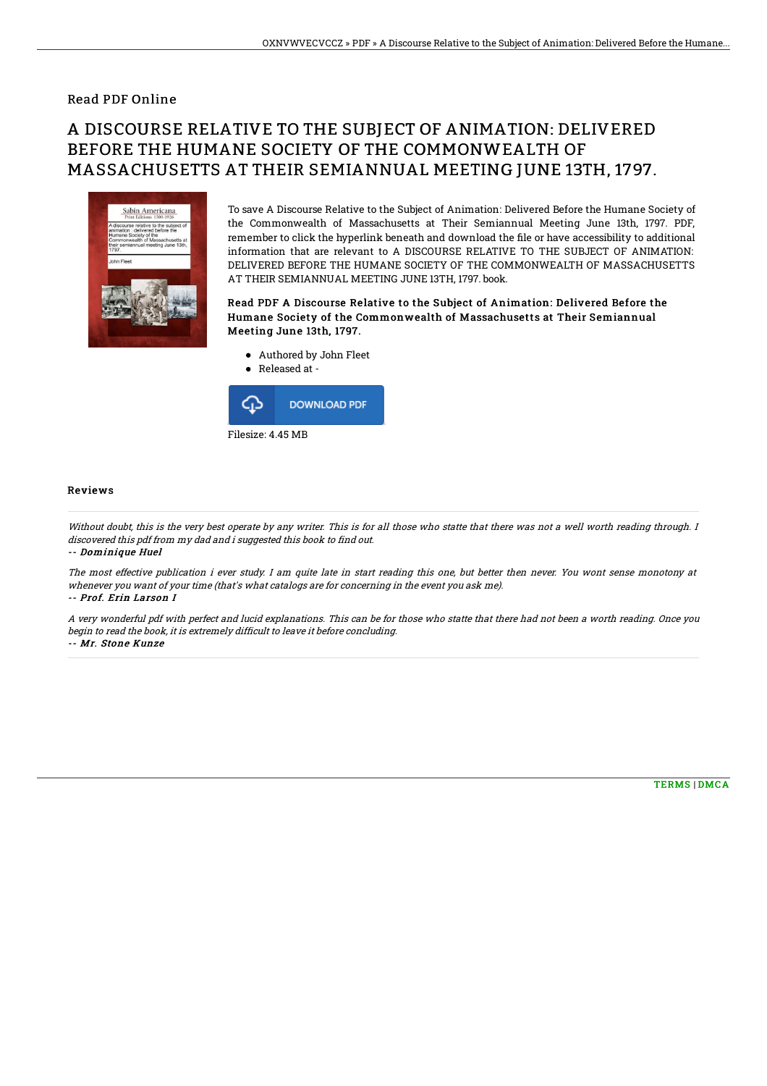### Read PDF Online

# A DISCOURSE RELATIVE TO THE SUBJECT OF ANIMATION: DELIVERED BEFORE THE HUMANE SOCIETY OF THE COMMONWEALTH OF MASSACHUSETTS AT THEIR SEMIANNUAL MEETING JUNE 13TH, 1797.



To save A Discourse Relative to the Subject of Animation: Delivered Before the Humane Society of the Commonwealth of Massachusetts at Their Semiannual Meeting June 13th, 1797. PDF, remember to click the hyperlink beneath and download the file or have accessibility to additional information that are relevant to A DISCOURSE RELATIVE TO THE SUBJECT OF ANIMATION: DELIVERED BEFORE THE HUMANE SOCIETY OF THE COMMONWEALTH OF MASSACHUSETTS AT THEIR SEMIANNUAL MEETING JUNE 13TH, 1797. book.

#### Read PDF A Discourse Relative to the Subject of Animation: Delivered Before the Humane Society of the Commonwealth of Massachusetts at Their Semiannual Meeting June 13th, 1797.

- Authored by John Fleet  $\bullet$
- Released at  $\bullet$



#### Reviews

Without doubt, this is the very best operate by any writer. This is for all those who statte that there was not <sup>a</sup> well worth reading through. I discovered this pdf from my dad and i suggested this book to find out.

-- Dominique Huel

The most effective publication i ever study. I am quite late in start reading this one, but better then never. You wont sense monotony at whenever you want of your time (that's what catalogs are for concerning in the event you ask me). -- Prof. Erin Larson I

A very wonderful pdf with perfect and lucid explanations. This can be for those who statte that there had not been <sup>a</sup> worth reading. Once you begin to read the book, it is extremely difficult to leave it before concluding. -- Mr. Stone Kunze